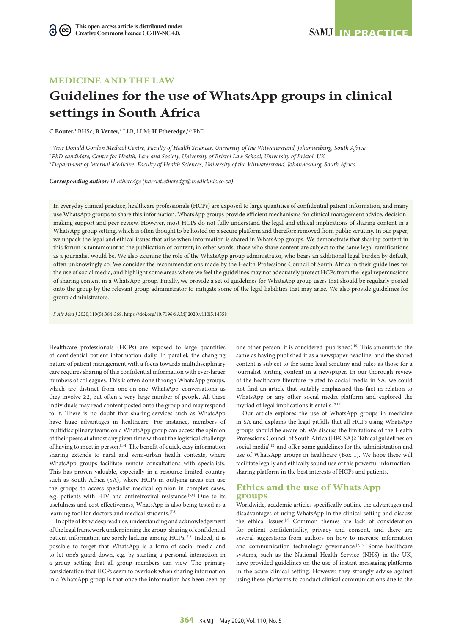# **MEDICINE AND THE LAW**

# **Guidelines for the use of WhatsApp groups in clinical settings in South Africa**

**C Bouter,1** BHSc; **B Venter,2** LLB, LLM; **H Etheredge,1,3** PhD

<sup>1</sup> *Wits Donald Gordon Medical Centre, Faculty of Health Sciences, University of the Witwatersrand, Johannesburg, South Africa*

<sup>2</sup>*PhD candidate, Centre for Health, Law and Society, University of Bristol Law School, University of Bristol, UK* 

<sup>3</sup>*Department of Internal Medicine, Faculty of Health Sciences, University of the Witwatersrand, Johannesburg, South Africa*

*Corresponding author: H Etheredge (harriet.etheredge@mediclinic.co.za)*

In everyday clinical practice, healthcare professionals (HCPs) are exposed to large quantities of confidential patient information, and many use WhatsApp groups to share this information. WhatsApp groups provide efficient mechanisms for clinical management advice, decisionmaking support and peer review. However, most HCPs do not fully understand the legal and ethical implications of sharing content in a WhatsApp group setting, which is often thought to be hosted on a secure platform and therefore removed from public scrutiny. In our paper, we unpack the legal and ethical issues that arise when information is shared in WhatsApp groups. We demonstrate that sharing content in this forum is tantamount to the publication of content; in other words, those who share content are subject to the same legal ramifications as a journalist would be. We also examine the role of the WhatsApp group administrator, who bears an additional legal burden by default, often unknowingly so. We consider the recommendations made by the Health Professions Council of South Africa in their guidelines for the use of social media, and highlight some areas where we feel the guidelines may not adequately protect HCPs from the legal repercussions of sharing content in a WhatsApp group. Finally, we provide a set of guidelines for WhatsApp group users that should be regularly posted onto the group by the relevant group administrator to mitigate some of the legal liabilities that may arise. We also provide guidelines for group administrators.

*S Afr Med J* 2020;110(5):364-368. https://doi.org/10.7196/SAMJ.2020.v110i5.14558

Healthcare professionals (HCPs) are exposed to large quantities of confidential patient information daily. In parallel, the changing nature of patient management with a focus towards multidisciplinary care requires sharing of this confidential information with ever-larger numbers of colleagues. This is often done through WhatsApp groups, which are distinct from one-on-one WhatsApp conversations as they involve  $\geq 2$ , but often a very large number of people. All these individuals may read content posted onto the group and may respond to it. There is no doubt that sharing-services such as WhatsApp have huge advantages in healthcare. For instance, members of multidisciplinary teams on a WhatsApp group can access the opinion of their peers at almost any given time without the logistical challenge of having to meet in person.[1-4] The benefit of quick, easy information sharing extends to rural and semi-urban health contexts, where WhatsApp groups facilitate remote consultations with specialists. This has proven valuable, especially in a resource-limited country such as South Africa (SA), where HCPs in outlying areas can use the groups to access specialist medical opinion in complex cases, e.g. patients with HIV and antiretroviral resistance.<sup>[5,6]</sup> Due to its usefulness and cost effectiveness, WhatsApp is also being tested as a learning tool for doctors and medical students.<sup>[7,8]</sup>

In spite of its widespread use, understanding and acknowledgement of the legal framework underpinning the group-sharing of confidential patient information are sorely lacking among HCPs.[7,9] Indeed, it is possible to forget that WhatsApp is a form of social media and to let one's guard down, e.g. by starting a personal interaction in a group setting that all group members can view. The primary consideration that HCPs seem to overlook when sharing information in a WhatsApp group is that once the information has been seen by

one other person, it is considered 'published'.[10] This amounts to the same as having published it as a newspaper headline, and the shared content is subject to the same legal scrutiny and rules as those for a journalist writing content in a newspaper. In our thorough review of the healthcare literature related to social media in SA, we could not find an article that suitably emphasised this fact in relation to WhatsApp or any other social media platform and explored the myriad of legal implications it entails.  $\rm{^{[9,11]}}$ 

Our article explores the use of WhatsApp groups in medicine in SA and explains the legal pitfalls that all HCPs using WhatsApp groups should be aware of. We discuss the limitations of the Health Professions Council of South Africa (HPCSA)'s 'Ethical guidelines on social media'<sup>[12]</sup> and offer some guidelines for the administration and use of WhatsApp groups in healthcare (Box 1). We hope these will facilitate legally and ethically sound use of this powerful informationsharing platform in the best interests of HCPs and patients.

## **Ethics and the use of WhatsApp groups**

Worldwide, academic articles specifically outline the advantages and disadvantages of using WhatsApp in the clinical setting and discuss the ethical issues.[7] Common themes are lack of consideration for patient confidentiality, privacy and consent, and there are several suggestions from authors on how to increase information and communication technology governance.<sup>[2,13]</sup> Some healthcare systems, such as the National Health Service (NHS) in the UK, have provided guidelines on the use of instant messaging platforms in the acute clinical setting. However, they strongly advise against using these platforms to conduct clinical communications due to the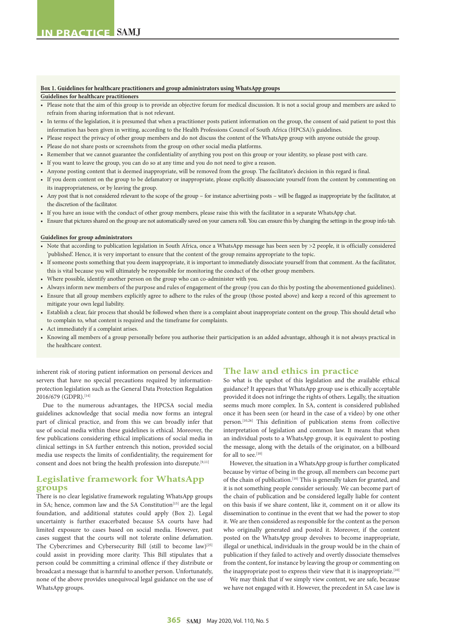#### **Box 1. Guidelines for healthcare practitioners and group administrators using WhatsApp groups**

#### **Guidelines for healthcare practitioners**

- Please note that the aim of this group is to provide an objective forum for medical discussion. It is not a social group and members are asked to refrain from sharing information that is not relevant.
- In terms of the legislation, it is presumed that when a practitioner posts patient information on the group, the consent of said patient to post this information has been given in writing, according to the Health Professions Council of South Africa (HPCSA)'s guidelines.
- Please respect the privacy of other group members and do not discuss the content of the WhatsApp group with anyone outside the group.
- Please do not share posts or screenshots from the group on other social media platforms.
- Remember that we cannot guarantee the confidentiality of anything you post on this group or your identity, so please post with care.
- If you want to leave the group, you can do so at any time and you do not need to give a reason.
- Anyone posting content that is deemed inappropriate, will be removed from the group. The facilitator's decision in this regard is final.
- If you deem content on the group to be defamatory or inappropriate, please explicitly disassociate yourself from the content by commenting on its inappropriateness, or by leaving the group.
- Any post that is not considered relevant to the scope of the group for instance advertising posts will be flagged as inappropriate by the facilitator, at the discretion of the facilitator.
- If you have an issue with the conduct of other group members, please raise this with the facilitator in a separate WhatsApp chat.
- Ensure that pictures shared on the group are not automatically saved on your camera roll. You can ensure this by changing the settings in the group info tab.

#### **Guidelines for group administrators**

- Note that according to publication legislation in South Africa, once a WhatsApp message has been seen by >2 people, it is officially considered 'published'. Hence, it is very important to ensure that the content of the group remains appropriate to the topic.
- If someone posts something that you deem inappropriate, it is important to immediately dissociate yourself from that comment. As the facilitator, this is vital because you will ultimately be responsible for monitoring the conduct of the other group members.
- Where possible, identify another person on the group who can co-administer with you.
- Always inform new members of the purpose and rules of engagement of the group (you can do this by posting the abovementioned guidelines).
- Ensure that all group members explicitly agree to adhere to the rules of the group (those posted above) and keep a record of this agreement to mitigate your own legal liability.
- Establish a clear, fair process that should be followed when there is a complaint about inappropriate content on the group. This should detail who to complain to, what content is required and the timeframe for complaints.
- Act immediately if a complaint arises.
- Knowing all members of a group personally before you authorise their participation is an added advantage, although it is not always practical in the healthcare context.

inherent risk of storing patient information on personal devices and servers that have no special precautions required by informationprotection legislation such as the General Data Protection Regulation 2016/679 (GDPR).[14]

Due to the numerous advantages, the HPCSA social media guidelines acknowledge that social media now forms an integral part of clinical practice, and from this we can broadly infer that use of social media within these guidelines is ethical. Moreover, the few publications considering ethical implications of social media in clinical settings in SA further entrench this notion, provided social media use respects the limits of confidentiality, the requirement for consent and does not bring the health profession into disrepute.[9,11]

# **Legislative framework for WhatsApp groups**

There is no clear legislative framework regulating WhatsApp groups in SA; hence, common law and the SA Constitution<sup>[15]</sup> are the legal foundation, and additional statutes could apply (Box 2). Legal uncertainty is further exacerbated because SA courts have had limited exposure to cases based on social media. However, past cases suggest that the courts will not tolerate online defamation. The Cybercrimes and Cybersecurity Bill (still to become law)<sup>[25]</sup> could assist in providing more clarity. This Bill stipulates that a person could be committing a criminal offence if they distribute or broadcast a message that is harmful to another person. Unfortunately, none of the above provides unequivocal legal guidance on the use of WhatsApp groups.

#### **The law and ethics in practice**

So what is the upshot of this legislation and the available ethical guidance? It appears that WhatsApp group use is ethically acceptable provided it does not infringe the rights of others. Legally, the situation seems much more complex. In SA, content is considered published once it has been seen (or heard in the case of a video) by one other person.[10,26] This definition of publication stems from collective interpretation of legislation and common law. It means that when an individual posts to a WhatsApp group, it is equivalent to posting the message, along with the details of the originator, on a billboard for all to see.<sup>[10]</sup>

However, the situation in a WhatsApp group is further complicated because by virtue of being in the group, all members can become part of the chain of publication.<sup>[10]</sup> This is generally taken for granted, and it is not something people consider seriously. We can become part of the chain of publication and be considered legally liable for content on this basis if we share content, like it, comment on it or allow its dissemination to continue in the event that we had the power to stop it. We are then considered as responsible for the content as the person who originally generated and posted it. Moreover, if the content posted on the WhatsApp group devolves to become inappropriate, illegal or unethical, individuals in the group would be in the chain of publication if they failed to actively and overtly dissociate themselves from the content, for instance by leaving the group or commenting on the inappropriate post to express their view that it is inappropriate.<sup>[10]</sup>

We may think that if we simply view content, we are safe, because we have not engaged with it. However, the precedent in SA case law is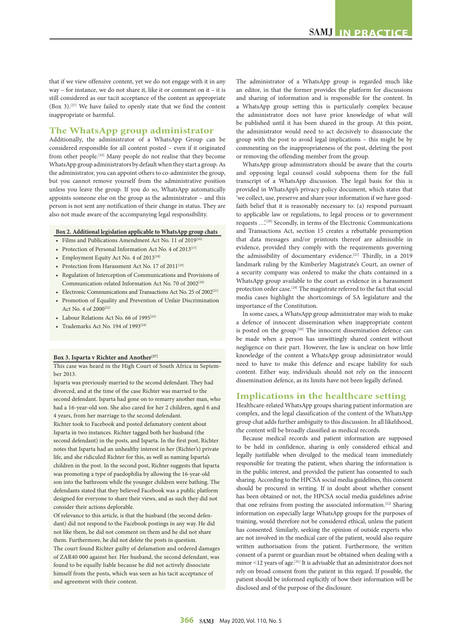that if we view offensive content, yet we do not engage with it in any way – for instance, we do not share it, like it or comment on it – it is still considered as our tacit acceptance of the content as appropriate (Box 3).[27] We have failed to openly state that we find the content inappropriate or harmful.

## **The WhatsApp group administrator**

Additionally, the administrator of a WhatsApp Group can be considered responsible for all content posted – even if it originated from other people.<sup>[10]</sup> Many people do not realise that they become WhatsApp group administrators by default when they start a group. As the administrator, you can appoint others to co-administer the group, but you cannot remove yourself from the administrative position unless you leave the group. If you do so, WhatsApp automatically appoints someone else on the group as the administrator – and this person is not sent any notification of their change in status. They are also not made aware of the accompanying legal responsibility.

## **Box 2. Additional legislation applicable to WhatsApp group chats**

- Films and Publications Amendment Act No. 11 of 2019[16]
- Protection of Personal Information Act No. 4 of 2013<sup>[17]</sup>
- Employment Equity Act No. 4 of  $2013^{[18]}$
- Protection from Harassment Act No. 17 of  $2011^{[19]}$
- Regulation of Interception of Communications and Provisions of Communication-related Information Act No. 70 of 2002<sup>[20]</sup>
- Electronic Communications and Transactions Act No. 25 of 2002[21]
- Promotion of Equality and Prevention of Unfair Discrimination Act No. 4 of 2000[22]
- Labour Relations Act No. 66 of 1995<sup>[23]</sup>
- Trademarks Act No. 194 of 1993<sup>[24]</sup>

#### Box 3. Isparta v Richter and Another<sup>[27]</sup>

This case was heard in the High Court of South Africa in Septem ber 2013.

Isparta was previously married to the second defendant. They had divorced, and at the time of the case Richter was married to the second defendant. Isparta had gone on to remarry another man, who had a 16-year-old son. She also cared for her 2 children, aged 6 and 4 years, from her marriage to the second defendant.

Richter took to Facebook and posted defamatory content about Isparta in two instances. Richter tagged both her husband (the second defendant) in the posts, and Isparta. In the first post, Richter notes that Isparta had an unhealthy interest in her (Richter's) private life, and she ridiculed Richter for this, as well as naming Isparta's children in the post. In the second post, Richter suggests that Isparta was promoting a type of paedophilia by allowing the 16-year-old son into the bathroom while the younger children were bathing. The defendants stated that they believed Facebook was a public platform designed for everyone to share their views, and as such they did not consider their actions deplorable.

Of relevance to this article, is that the husband (the second defendant) did not respond to the Facebook postings in any way. He did not like them, he did not comment on them and he did not share them. Furthermore, he did not delete the posts in question. The court found Richter guilty of defamation and ordered damages of ZAR40 000 against her. Her husband, the second defendant, was found to be equally liable because he did not actively dissociate himself from the posts, which was seen as his tacit acceptance of and agreement with their content.

The administrator of a WhatsApp group is regarded much like an editor, in that the former provides the platform for discussions and sharing of information and is responsible for the content. In a WhatsApp group setting this is particularly complex because the administrator does not have prior knowledge of what will be published until it has been shared in the group. At this point, the administrator would need to act decisively to disassociate the group with the post to avoid legal implications – this might be by commenting on the inappropriateness of the post, deleting the post or removing the offending member from the group.

WhatsApp group administrators should be aware that the courts and opposing legal counsel could subpoena them for the full transcript of a WhatsApp discussion. The legal basis for this is provided in WhatsApp's privacy policy document, which states that 'we collect, use, preserve and share your information if we have goodfaith belief that it is reasonably necessary to: (a) respond pursuant to applicable law or regulations, to legal process or to government requests ...'<sup>[28]</sup> Secondly, in terms of the Electronic Communications and Transactions Act, section 15 creates a rebuttable presumption that data messages and/or printouts thereof are admissible in evidence, provided they comply with the requirements governing the admissibility of documentary evidence.[21] Thirdly, in a 2019 landmark ruling by the Kimberley Magistrate's Court, an owner of a security company was ordered to make the chats contained in a WhatsApp group available to the court as evidence in a harassment protection order case.<sup>[29]</sup> The magistrate referred to the fact that social media cases highlight the shortcomings of SA legislature and the importance of the Constitution.

In some cases, a WhatsApp group administrator may wish to make a defence of innocent dissemination when inappropriate content is posted on the group.[30] The innocent dissemination defence can be made when a person has unwittingly shared content without negligence on their part. However, the law is unclear on how little knowledge of the content a WhatsApp group administrator would need to have to make this defence and escape liability for such content. Either way, individuals should not rely on the innocent dissemination defence, as its limits have not been legally defined.

#### **Implications in the healthcare setting**

Healthcare-related WhatsApp groups sharing patient information are complex, and the legal classification of the content of the WhatsApp group chat adds further ambiguity to this discussion. In all likelihood, the content will be broadly classified as medical records.

Because medical records and patient information are supposed to be held in confidence, sharing is only considered ethical and legally justifiable when divulged to the medical team immediately responsible for treating the patient, when sharing the information is in the public interest, and provided the patient has consented to such sharing. According to the HPCSA social media guidelines, this consent should be procured in writing. If in doubt about whether consent has been obtained or not, the HPCSA social media guidelines advise that one refrains from posting the associated information.<sup>[12]</sup> Sharing information on especially large WhatsApp groups for the purposes of training, would therefore not be considered ethical, unless the patient has consented. Similarly, seeking the opinion of outside experts who are not involved in the medical care of the patient, would also require written authorisation from the patient. Furthermore, the written consent of a parent or guardian must be obtained when dealing with a minor <12 years of age.<sup>[31]</sup> It is advisable that an administrator does not rely on broad consent from the patient in this regard. If possible, the patient should be informed explicitly of how their information will be disclosed and of the purpose of the disclosure.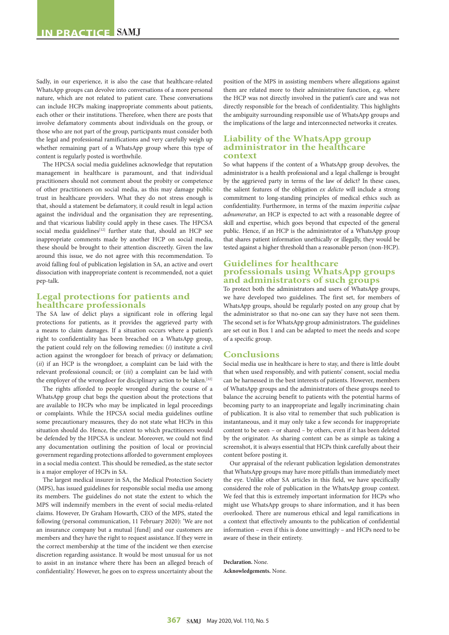Sadly, in our experience, it is also the case that healthcare-related WhatsApp groups can devolve into conversations of a more personal nature, which are not related to patient care. These conversations can include HCPs making inappropriate comments about patients, each other or their institutions. Therefore, when there are posts that involve defamatory comments about individuals on the group, or those who are not part of the group, participants must consider both the legal and professional ramifications and very carefully weigh up whether remaining part of a WhatsApp group where this type of content is regularly posted is worthwhile.

The HPCSA social media guidelines acknowledge that reputation management in healthcare is paramount, and that individual practitioners should not comment about the probity or competence of other practitioners on social media, as this may damage public trust in healthcare providers. What they do not stress enough is that, should a statement be defamatory, it could result in legal action against the individual and the organisation they are representing, and that vicarious liability could apply in these cases. The HPCSA social media guidelines<sup>[12]</sup> further state that, should an HCP see inappropriate comments made by another HCP on social media, these should be brought to their attention discreetly. Given the law around this issue, we do not agree with this recommendation. To avoid falling foul of publication legislation in SA, an active and overt dissociation with inappropriate content is recommended, not a quiet pep-talk.

## **Legal protections for patients and healthcare professionals**

The SA law of delict plays a significant role in offering legal protections for patients, as it provides the aggrieved party with a means to claim damages. If a situation occurs where a patient's right to confidentiality has been breached on a WhatsApp group, the patient could rely on the following remedies: (*i*) institute a civil action against the wrongdoer for breach of privacy or defamation; (*ii*) if an HCP is the wrongdoer, a complaint can be laid with the relevant professional council; or (*iii*) a complaint can be laid with the employer of the wrongdoer for disciplinary action to be taken.<sup>[32]</sup>

The rights afforded to people wronged during the course of a WhatsApp group chat begs the question about the protections that are available to HCPs who may be implicated in legal proceedings or complaints. While the HPCSA social media guidelines outline some precautionary measures, they do not state what HCPs in this situation should do. Hence, the extent to which practitioners would be defended by the HPCSA is unclear. Moreover, we could not find any documentation outlining the position of local or provincial government regarding protections afforded to government employees in a social media context. This should be remedied, as the state sector is a major employer of HCPs in SA.

The largest medical insurer in SA, the Medical Protection Society (MPS), has issued guidelines for responsible social media use among its members. The guidelines do not state the extent to which the MPS will indemnify members in the event of social media-related claims. However, Dr Graham Howarth, CEO of the MPS, stated the following (personal communication, 11 February 2020): 'We are not an insurance company but a mutual [fund] and our customers are members and they have the right to request assistance. If they were in the correct membership at the time of the incident we then exercise discretion regarding assistance. It would be most unusual for us not to assist in an instance where there has been an alleged breach of confidentiality.' However, he goes on to express uncertainty about the

position of the MPS in assisting members where allegations against them are related more to their administrative function, e.g. where the HCP was not directly involved in the patient's care and was not directly responsible for the breach of confidentiality. This highlights the ambiguity surrounding responsible use of WhatsApp groups and the implications of the large and interconnected networks it creates.

### **Liability of the WhatsApp group administrator in the healthcare context**

So what happens if the content of a WhatsApp group devolves, the administrator is a health professional and a legal challenge is brought by the aggrieved party in terms of the law of delict? In these cases, the salient features of the obligation *ex delicto* will include a strong commitment to long-standing principles of medical ethics such as confidentiality. Furthermore, in terms of the maxim *imperitia culpae adnumeratur*, an HCP is expected to act with a reasonable degree of skill and expertise, which goes beyond that expected of the general public. Hence, if an HCP is the administrator of a WhatsApp group that shares patient information unethically or illegally, they would be tested against a higher threshold than a reasonable person (non-HCP).

# **Guidelines for healthcare professionals using WhatsApp groups and administrators of such groups**

To protect both the administrators and users of WhatsApp groups, we have developed two guidelines. The first set, for members of WhatsApp groups, should be regularly posted on any group chat by the administrator so that no-one can say they have not seen them. The second set is for WhatsApp group administrators. The guidelines are set out in Box 1 and can be adapted to meet the needs and scope of a specific group.

#### **Conclusions**

Social media use in healthcare is here to stay, and there is little doubt that when used responsibly, and with patients' consent, social media can be harnessed in the best interests of patients. However, members of WhatsApp groups and the administrators of these groups need to balance the accruing benefit to patients with the potential harms of becoming party to an inappropriate and legally incriminating chain of publication. It is also vital to remember that such publication is instantaneous, and it may only take a few seconds for inappropriate content to be seen – or shared – by others, even if it has been deleted by the originator. As sharing content can be as simple as taking a screenshot, it is always essential that HCPs think carefully about their content before posting it.

Our appraisal of the relevant publication legislation demonstrates that WhatsApp groups may have more pitfalls than immediately meet the eye. Unlike other SA articles in this field, we have specifically considered the role of publication in the WhatsApp group context. We feel that this is extremely important information for HCPs who might use WhatsApp groups to share information, and it has been overlooked. There are numerous ethical and legal ramifications in a context that effectively amounts to the publication of confidential information – even if this is done unwittingly – and HCPs need to be aware of these in their entirety.

**Declaration.** None. **Acknowledgements.** None.